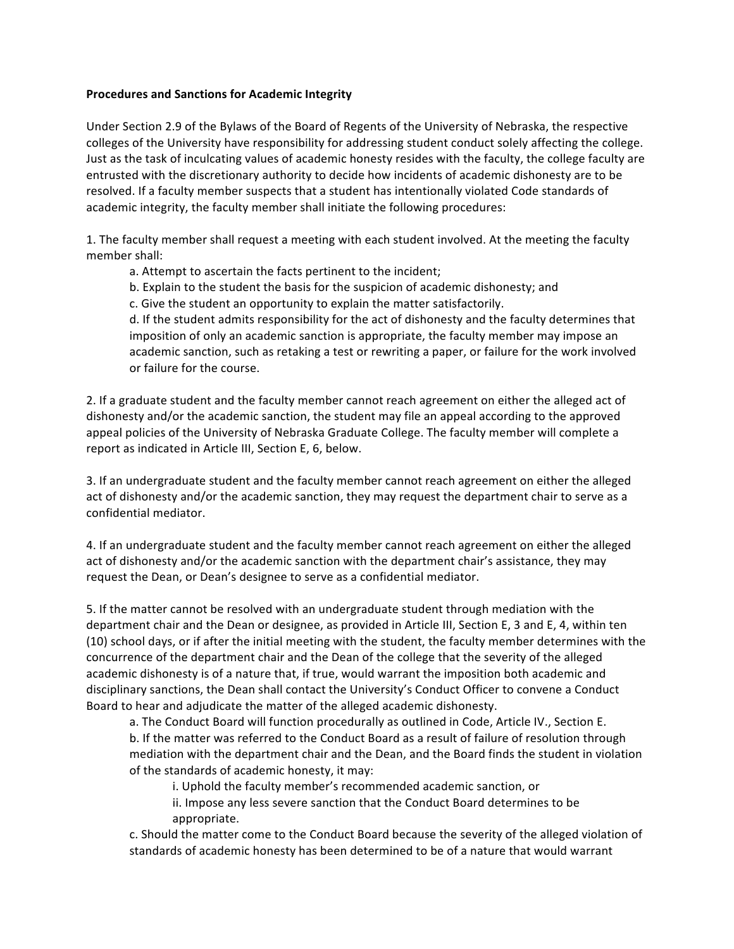## **Procedures and Sanctions for Academic Integrity**

Under Section 2.9 of the Bylaws of the Board of Regents of the University of Nebraska, the respective colleges of the University have responsibility for addressing student conduct solely affecting the college. Just as the task of inculcating values of academic honesty resides with the faculty, the college faculty are entrusted with the discretionary authority to decide how incidents of academic dishonesty are to be resolved. If a faculty member suspects that a student has intentionally violated Code standards of academic integrity, the faculty member shall initiate the following procedures:

1. The faculty member shall request a meeting with each student involved. At the meeting the faculty member shall:

a. Attempt to ascertain the facts pertinent to the incident;

b. Explain to the student the basis for the suspicion of academic dishonesty; and

c. Give the student an opportunity to explain the matter satisfactorily.

d. If the student admits responsibility for the act of dishonesty and the faculty determines that imposition of only an academic sanction is appropriate, the faculty member may impose an academic sanction, such as retaking a test or rewriting a paper, or failure for the work involved or failure for the course.

2. If a graduate student and the faculty member cannot reach agreement on either the alleged act of dishonesty and/or the academic sanction, the student may file an appeal according to the approved appeal policies of the University of Nebraska Graduate College. The faculty member will complete a report as indicated in Article III, Section E, 6, below.

3. If an undergraduate student and the faculty member cannot reach agreement on either the alleged act of dishonesty and/or the academic sanction, they may request the department chair to serve as a confidential mediator.

4. If an undergraduate student and the faculty member cannot reach agreement on either the alleged act of dishonesty and/or the academic sanction with the department chair's assistance, they may request the Dean, or Dean's designee to serve as a confidential mediator.

5. If the matter cannot be resolved with an undergraduate student through mediation with the department chair and the Dean or designee, as provided in Article III, Section E, 3 and E, 4, within ten (10) school days, or if after the initial meeting with the student, the faculty member determines with the concurrence of the department chair and the Dean of the college that the severity of the alleged academic dishonesty is of a nature that, if true, would warrant the imposition both academic and disciplinary sanctions, the Dean shall contact the University's Conduct Officer to convene a Conduct Board to hear and adjudicate the matter of the alleged academic dishonesty.

a. The Conduct Board will function procedurally as outlined in Code, Article IV., Section E. b. If the matter was referred to the Conduct Board as a result of failure of resolution through mediation with the department chair and the Dean, and the Board finds the student in violation of the standards of academic honesty, it may:

i. Uphold the faculty member's recommended academic sanction, or

ii. Impose any less severe sanction that the Conduct Board determines to be appropriate.

c. Should the matter come to the Conduct Board because the severity of the alleged violation of standards of academic honesty has been determined to be of a nature that would warrant